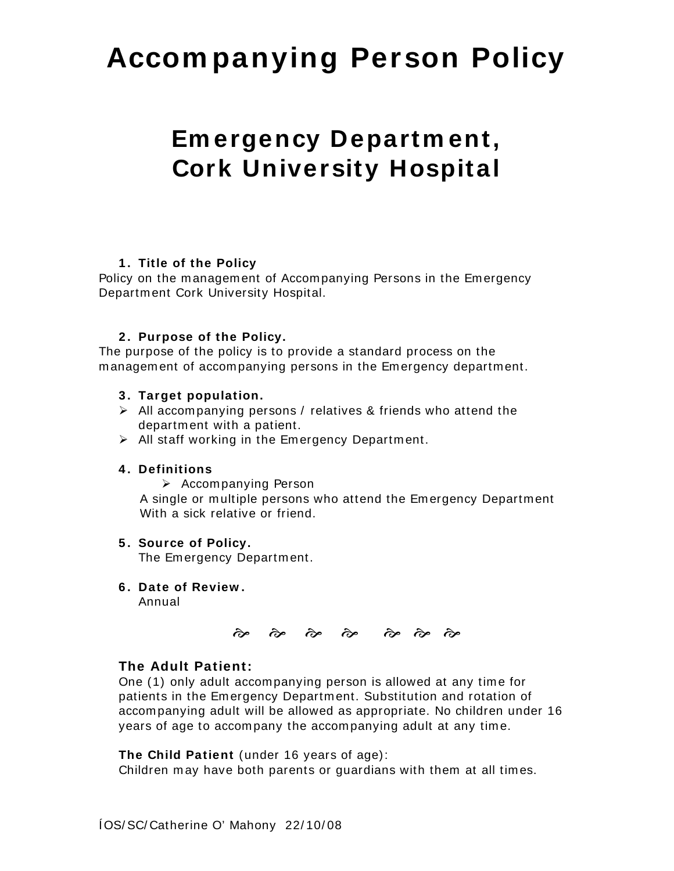# **Accom panying Person Policy**

## **Em ergency Departm ent, Cork University Hospital**

#### **1 . Title of the Policy**

Policy on the management of Accompanying Persons in the Emergency Departm ent Cork University Hospital.

#### **2 . Purpose of the Policy.**

The purpose of the policy is to provide a standard process on the m anagem ent of accom panying persons in the Em ergency departm ent.

- **3 . Target population.**
- $\triangleright$  All accompanying persons / relatives & friends who attend the departm ent with a patient.
- $\triangleright$  All staff working in the Emergency Department.

#### **4 . Definitions**

¾ Accom panying Person

 A single or m ultiple persons who attend the Em ergency Departm ent With a sick relative or friend.

#### **5 . Source of Policy.**

The Emergency Department.

**6 . Date of Review .** 

Annual



#### **The Adult Patient:**

One (1) only adult accompanying person is allowed at any time for patients in the Em ergency Departm ent. Substitution and rotation of accom panying adult will be allowed as appropriate. No children under 16 years of age to accompany the accompanying adult at any time.

#### **The Child Patient** (under 16 years of age):

Children may have both parents or guardians with them at all times.